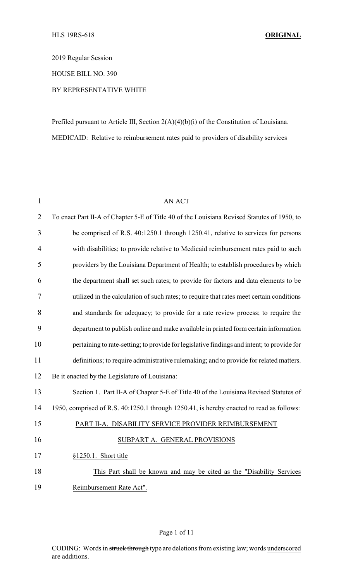2019 Regular Session

HOUSE BILL NO. 390

## BY REPRESENTATIVE WHITE

Prefiled pursuant to Article III, Section 2(A)(4)(b)(i) of the Constitution of Louisiana. MEDICAID: Relative to reimbursement rates paid to providers of disability services

| $\mathbf{1}$   | <b>AN ACT</b>                                                                               |
|----------------|---------------------------------------------------------------------------------------------|
| $\overline{2}$ | To enact Part II-A of Chapter 5-E of Title 40 of the Louisiana Revised Statutes of 1950, to |
| 3              | be comprised of R.S. 40:1250.1 through 1250.41, relative to services for persons            |
| $\overline{4}$ | with disabilities; to provide relative to Medicaid reimbursement rates paid to such         |
| 5              | providers by the Louisiana Department of Health; to establish procedures by which           |
| 6              | the department shall set such rates; to provide for factors and data elements to be         |
| 7              | utilized in the calculation of such rates; to require that rates meet certain conditions    |
| 8              | and standards for adequacy; to provide for a rate review process; to require the            |
| 9              | department to publish online and make available in printed form certain information         |
| 10             | pertaining to rate-setting; to provide for legislative findings and intent; to provide for  |
| 11             | definitions; to require administrative rulemaking; and to provide for related matters.      |
| 12             | Be it enacted by the Legislature of Louisiana:                                              |
| 13             | Section 1. Part II-A of Chapter 5-E of Title 40 of the Louisiana Revised Statutes of        |
| 14             | 1950, comprised of R.S. 40:1250.1 through 1250.41, is hereby enacted to read as follows:    |
| 15             | PART II-A. DISABILITY SERVICE PROVIDER REIMBURSEMENT                                        |
| 16             | SUBPART A. GENERAL PROVISIONS                                                               |
| 17             | §1250.1. Short title                                                                        |
| 18             | This Part shall be known and may be cited as the "Disability Services                       |
| 19             | Reimbursement Rate Act".                                                                    |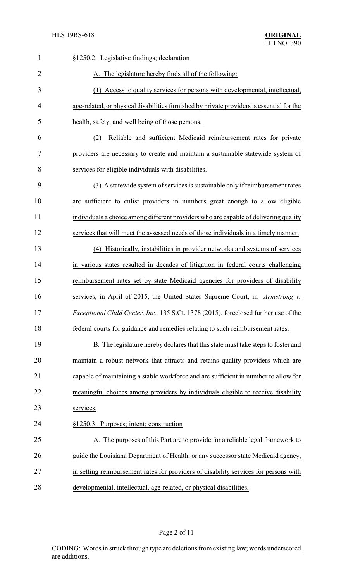| 1              | §1250.2. Legislative findings; declaration                                                |
|----------------|-------------------------------------------------------------------------------------------|
| $\overline{2}$ | A. The legislature hereby finds all of the following:                                     |
| 3              | (1) Access to quality services for persons with developmental, intellectual,              |
| 4              | age-related, or physical disabilities furnished by private providers is essential for the |
| 5              | health, safety, and well being of those persons.                                          |
| 6              | Reliable and sufficient Medicaid reimbursement rates for private<br>(2)                   |
| 7              | providers are necessary to create and maintain a sustainable statewide system of          |
| 8              | services for eligible individuals with disabilities.                                      |
| 9              | (3) A statewide system of services is sustainable only if reimbursement rates             |
| 10             | are sufficient to enlist providers in numbers great enough to allow eligible              |
| 11             | individuals a choice among different providers who are capable of delivering quality      |
| 12             | services that will meet the assessed needs of those individuals in a timely manner.       |
| 13             | (4) Historically, instabilities in provider networks and systems of services              |
| 14             | in various states resulted in decades of litigation in federal courts challenging         |
| 15             | reimbursement rates set by state Medicaid agencies for providers of disability            |
| 16             | services; in April of 2015, the United States Supreme Court, in Armstrong $v$ .           |
| 17             | Exceptional Child Center, Inc., 135 S.Ct. 1378 (2015), foreclosed further use of the      |
| 18             | federal courts for guidance and remedies relating to such reimbursement rates.            |
| 19             | B. The legislature hereby declares that this state must take steps to foster and          |
| 20             | maintain a robust network that attracts and retains quality providers which are           |
| 21             | capable of maintaining a stable workforce and are sufficient in number to allow for       |
| 22             | meaningful choices among providers by individuals eligible to receive disability          |
| 23             | services.                                                                                 |
| 24             | §1250.3. Purposes; intent; construction                                                   |
| 25             | A. The purposes of this Part are to provide for a reliable legal framework to             |
| 26             | guide the Louisiana Department of Health, or any successor state Medicaid agency,         |
| 27             | in setting reimbursement rates for providers of disability services for persons with      |
| 28             | developmental, intellectual, age-related, or physical disabilities.                       |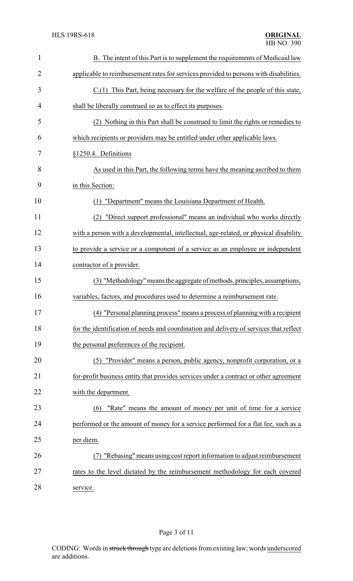| $\mathbf{1}$   | B. The intent of this Part is to supplement the requirements of Medicaid law           |
|----------------|----------------------------------------------------------------------------------------|
| $\overline{2}$ | applicable to reimbursement rates for services provided to persons with disabilities.  |
| 3              | C.(1) This Part, being necessary for the welfare of the people of this state,          |
| 4              | shall be liberally construed so as to effect its purposes.                             |
| 5              | (2) Nothing in this Part shall be construed to limit the rights or remedies to         |
| 6              | which recipients or providers may be entitled under other applicable laws.             |
| 7              | §1250.4. Definitions                                                                   |
| 8              | As used in this Part, the following terms have the meaning ascribed to them            |
| 9              | in this Section:                                                                       |
| 10             | "Department" means the Louisiana Department of Health.<br>(1)                          |
| 11             | (2) "Direct support professional" means an individual who works directly               |
| 12             | with a person with a developmental, intellectual, age-related, or physical disability  |
| 13             | to provide a service or a component of a service as an employee or independent         |
| 14             | contractor of a provider.                                                              |
| 15             | (3) "Methodology" means the aggregate of methods, principles, assumptions,             |
| 16             | variables, factors, and procedures used to determine a reimbursement rate.             |
| 17             | (4) "Personal planning process" means a process of planning with a recipient           |
| 18             | for the identification of needs and coordination and delivery of services that reflect |
| 19             | the personal preferences of the recipient.                                             |
| 20             | (5) "Provider" means a person, public agency, nonprofit corporation, or a              |
| 21             | for-profit business entity that provides services under a contract or other agreement  |
| 22             | with the department.                                                                   |
| 23             | "Rate" means the amount of money per unit of time for a service<br>(6)                 |
| 24             | performed or the amount of money for a service performed for a flat fee, such as a     |
| 25             | per diem.                                                                              |
| 26             | (7) "Rebasing" means using cost report information to adjust reimbursement             |
| 27             | rates to the level dictated by the reimbursement methodology for each covered          |
| 28             | service.                                                                               |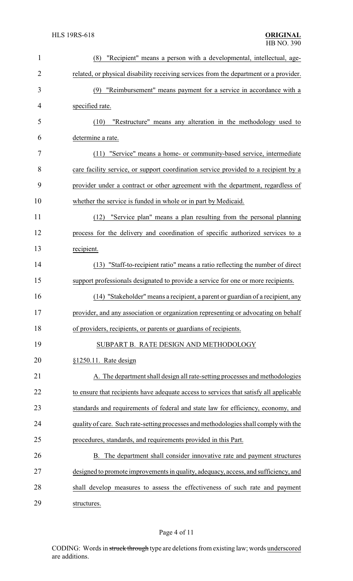| $\mathbf{1}$   | "Recipient" means a person with a developmental, intellectual, age-<br>(8)             |
|----------------|----------------------------------------------------------------------------------------|
| $\overline{2}$ | related, or physical disability receiving services from the department or a provider.  |
| 3              | "Reimbursement" means payment for a service in accordance with a<br>(9)                |
| 4              | specified rate.                                                                        |
| 5              | "Restructure" means any alteration in the methodology used to<br>(10)                  |
| 6              | determine a rate.                                                                      |
| 7              | (11) "Service" means a home- or community-based service, intermediate                  |
| 8              | care facility service, or support coordination service provided to a recipient by a    |
| 9              | provider under a contract or other agreement with the department, regardless of        |
| 10             | whether the service is funded in whole or in part by Medicaid.                         |
| 11             | (12) "Service plan" means a plan resulting from the personal planning                  |
| 12             | process for the delivery and coordination of specific authorized services to a         |
| 13             | recipient.                                                                             |
| 14             | (13) "Staff-to-recipient ratio" means a ratio reflecting the number of direct          |
| 15             | support professionals designated to provide a service for one or more recipients.      |
| 16             | (14) "Stakeholder" means a recipient, a parent or guardian of a recipient, any         |
| 17             | provider, and any association or organization representing or advocating on behalf     |
| 18             | of providers, recipients, or parents or guardians of recipients.                       |
| 19             | SUBPART B. RATE DESIGN AND METHODOLOGY                                                 |
| 20             | §1250.11. Rate design                                                                  |
| 21             | A. The department shall design all rate-setting processes and methodologies            |
| 22             | to ensure that recipients have adequate access to services that satisfy all applicable |
| 23             | standards and requirements of federal and state law for efficiency, economy, and       |
| 24             | quality of care. Such rate-setting processes and methodologies shall comply with the   |
| 25             | procedures, standards, and requirements provided in this Part.                         |
| 26             | B. The department shall consider innovative rate and payment structures                |
| 27             | designed to promote improvements in quality, adequacy, access, and sufficiency, and    |
| 28             | shall develop measures to assess the effectiveness of such rate and payment            |
| 29             | structures.                                                                            |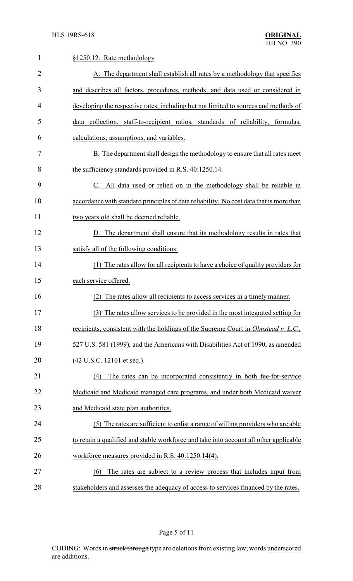| $\mathbf{1}$   | §1250.12. Rate methodology                                                                 |
|----------------|--------------------------------------------------------------------------------------------|
| $\overline{2}$ | A. The department shall establish all rates by a methodology that specifies                |
| 3              | and describes all factors, procedures, methods, and data used or considered in             |
| 4              | developing the respective rates, including but not limited to sources and methods of       |
| 5              | data collection, staff-to-recipient ratios, standards of reliability, formulas,            |
| 6              | calculations, assumptions, and variables.                                                  |
| 7              | B. The department shall design the methodology to ensure that all rates meet               |
| 8              | the sufficiency standards provided in R.S. 40:1250.14.                                     |
| 9              | C. All data used or relied on in the methodology shall be reliable in                      |
| 10             | accordance with standard principles of data reliability. No cost data that is more than    |
| 11             | two years old shall be deemed reliable.                                                    |
| 12             | D. The department shall ensure that its methodology results in rates that                  |
| 13             | satisfy all of the following conditions:                                                   |
| 14             | (1) The rates allow for all recipients to have a choice of quality providers for           |
| 15             | each service offered.                                                                      |
| 16             | The rates allow all recipients to access services in a timely manner.<br>(2)               |
| 17             | (3) The rates allow services to be provided in the most integrated setting for             |
| 18             | recipients, consistent with the holdings of the Supreme Court in <i>Olmstead v. L.C.</i> , |
| 19             | 527 U.S. 581 (1999), and the Americans with Disabilities Act of 1990, as amended           |
| 20             | (42 U.S.C. 12101 et seq.).                                                                 |
| 21             | The rates can be incorporated consistently in both fee-for-service<br>(4)                  |
| 22             | Medicaid and Medicaid managed care programs, and under both Medicaid waiver                |
| 23             | and Medicaid state plan authorities.                                                       |
| 24             | (5) The rates are sufficient to enlist a range of willing providers who are able           |
| 25             | to retain a qualified and stable workforce and take into account all other applicable      |
| 26             | workforce measures provided in R.S. 40:1250.14(4).                                         |
| 27             | The rates are subject to a review process that includes input from<br>(6)                  |
| 28             | stakeholders and assesses the adequacy of access to services financed by the rates.        |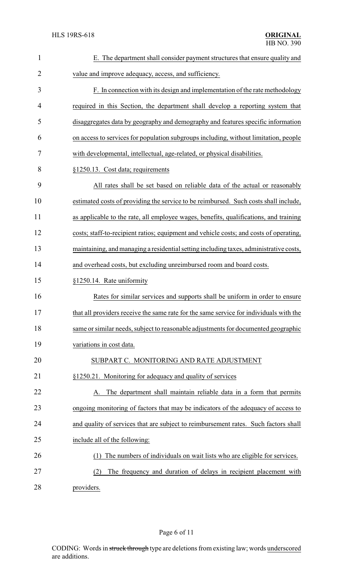| 1              | E. The department shall consider payment structures that ensure quality and            |
|----------------|----------------------------------------------------------------------------------------|
| $\overline{2}$ | value and improve adequacy, access, and sufficiency.                                   |
| 3              | F. In connection with its design and implementation of the rate methodology            |
| $\overline{4}$ | required in this Section, the department shall develop a reporting system that         |
| 5              | disaggregates data by geography and demography and features specific information       |
| 6              | on access to services for population subgroups including, without limitation, people   |
| 7              | with developmental, intellectual, age-related, or physical disabilities.               |
| 8              | §1250.13. Cost data; requirements                                                      |
| 9              | All rates shall be set based on reliable data of the actual or reasonably              |
| 10             | estimated costs of providing the service to be reimbursed. Such costs shall include,   |
| 11             | as applicable to the rate, all employee wages, benefits, qualifications, and training  |
| 12             | costs; staff-to-recipient ratios; equipment and vehicle costs; and costs of operating, |
| 13             | maintaining, and managing a residential setting including taxes, administrative costs, |
| 14             | and overhead costs, but excluding unreimbursed room and board costs.                   |
| 15             | §1250.14. Rate uniformity                                                              |
| 16             | Rates for similar services and supports shall be uniform in order to ensure            |
| 17             | that all providers receive the same rate for the same service for individuals with the |
| 18             | same or similar needs, subject to reasonable adjustments for documented geographic     |
| 19             | variations in cost data.                                                               |
| 20             | SUBPART C. MONITORING AND RATE ADJUSTMENT                                              |
| 21             | §1250.21. Monitoring for adequacy and quality of services                              |
| 22             | The department shall maintain reliable data in a form that permits                     |
| 23             | ongoing monitoring of factors that may be indicators of the adequacy of access to      |
| 24             | and quality of services that are subject to reimbursement rates. Such factors shall    |
| 25             | include all of the following:                                                          |
| 26             | The numbers of individuals on wait lists who are eligible for services.                |
| 27             | The frequency and duration of delays in recipient placement with<br>(2)                |
|                |                                                                                        |

28 providers.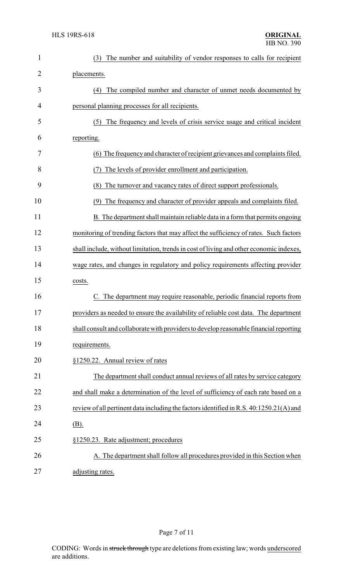| $\mathbf{1}$ | The number and suitability of vendor responses to calls for recipient<br>(3)            |
|--------------|-----------------------------------------------------------------------------------------|
| 2            | placements.                                                                             |
| 3            | (4) The compiled number and character of unmet needs documented by                      |
| 4            | personal planning processes for all recipients.                                         |
| 5            | The frequency and levels of crisis service usage and critical incident<br>(5)           |
| 6            | reporting.                                                                              |
| 7            | (6) The frequency and character of recipient grievances and complaints filed.           |
| 8            | The levels of provider enrollment and participation.<br>(7)                             |
| 9            | The turnover and vacancy rates of direct support professionals.<br>(8)                  |
| 10           | The frequency and character of provider appeals and complaints filed.<br>(9)            |
| 11           | B. The department shall maintain reliable data in a form that permits ongoing           |
| 12           | monitoring of trending factors that may affect the sufficiency of rates. Such factors   |
| 13           | shall include, without limitation, trends in cost of living and other economic indexes, |
| 14           | wage rates, and changes in regulatory and policy requirements affecting provider        |
| 15           | costs.                                                                                  |
| 16           | The department may require reasonable, periodic financial reports from                  |
| 17           | providers as needed to ensure the availability of reliable cost data. The department    |
| 18           | shall consult and collaborate with providers to develop reasonable financial reporting  |
| 19           | requirements.                                                                           |
| 20           | §1250.22. Annual review of rates                                                        |
| 21           | The department shall conduct annual reviews of all rates by service category            |
| 22           | and shall make a determination of the level of sufficiency of each rate based on a      |
| 23           | review of all pertinent data including the factors identified in R.S. 40:1250.21(A) and |
| 24           | $(B)$ .                                                                                 |
| 25           | §1250.23. Rate adjustment; procedures                                                   |
| 26           | A. The department shall follow all procedures provided in this Section when             |
| 27           | adjusting rates.                                                                        |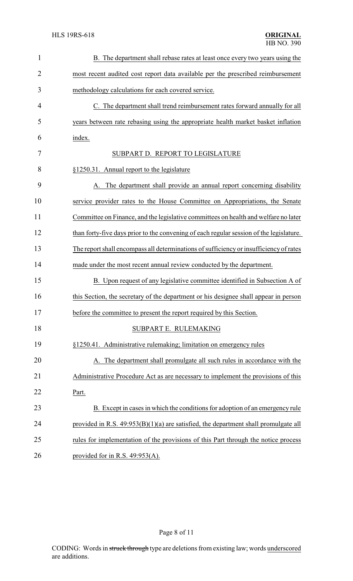| $\mathbf{1}$   | B. The department shall rebase rates at least once every two years using the            |
|----------------|-----------------------------------------------------------------------------------------|
| $\overline{2}$ | most recent audited cost report data available per the prescribed reimbursement         |
| 3              | methodology calculations for each covered service.                                      |
| 4              | C. The department shall trend reimbursement rates forward annually for all              |
| 5              | years between rate rebasing using the appropriate health market basket inflation        |
| 6              | index.                                                                                  |
| 7              | SUBPART D. REPORT TO LEGISLATURE                                                        |
| 8              | §1250.31. Annual report to the legislature                                              |
| 9              | A. The department shall provide an annual report concerning disability                  |
| 10             | service provider rates to the House Committee on Appropriations, the Senate             |
| 11             | Committee on Finance, and the legislative committees on health and welfare no later     |
| 12             | than forty-five days prior to the convening of each regular session of the legislature. |
| 13             | The report shall encompass all determinations of sufficiency or insufficiency of rates  |
| 14             | made under the most recent annual review conducted by the department.                   |
| 15             | B. Upon request of any legislative committee identified in Subsection A of              |
| 16             | this Section, the secretary of the department or his designee shall appear in person    |
| 17             | before the committee to present the report required by this Section                     |
| 18             | SUBPART E. RULEMAKING                                                                   |
| 19             | §1250.41. Administrative rulemaking; limitation on emergency rules                      |
| 20             | A. The department shall promulgate all such rules in accordance with the                |
| 21             | Administrative Procedure Act as are necessary to implement the provisions of this       |
| 22             | Part.                                                                                   |
| 23             | B. Except in cases in which the conditions for adoption of an emergency rule            |
| 24             | provided in R.S. $49:953(B)(1)(a)$ are satisfied, the department shall promulgate all   |
| 25             | rules for implementation of the provisions of this Part through the notice process      |
| 26             | provided for in R.S. $49:953(A)$ .                                                      |

Page 8 of 11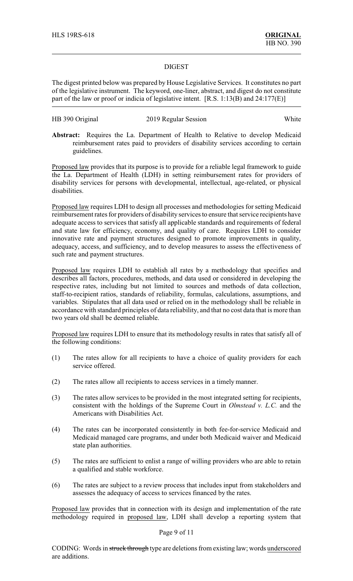### DIGEST

The digest printed below was prepared by House Legislative Services. It constitutes no part of the legislative instrument. The keyword, one-liner, abstract, and digest do not constitute part of the law or proof or indicia of legislative intent. [R.S. 1:13(B) and 24:177(E)]

# HB 390 Original 2019 Regular Session White

**Abstract:** Requires the La. Department of Health to Relative to develop Medicaid reimbursement rates paid to providers of disability services according to certain guidelines.

Proposed law provides that its purpose is to provide for a reliable legal framework to guide the La. Department of Health (LDH) in setting reimbursement rates for providers of disability services for persons with developmental, intellectual, age-related, or physical disabilities.

Proposed law requires LDH to design all processes and methodologies for setting Medicaid reimbursement rates for providers of disability services to ensure that service recipients have adequate access to services that satisfy all applicable standards and requirements of federal and state law for efficiency, economy, and quality of care. Requires LDH to consider innovative rate and payment structures designed to promote improvements in quality, adequacy, access, and sufficiency, and to develop measures to assess the effectiveness of such rate and payment structures.

Proposed law requires LDH to establish all rates by a methodology that specifies and describes all factors, procedures, methods, and data used or considered in developing the respective rates, including but not limited to sources and methods of data collection, staff-to-recipient ratios, standards of reliability, formulas, calculations, assumptions, and variables. Stipulates that all data used or relied on in the methodology shall be reliable in accordance with standard principles of data reliability, and that no cost data that is more than two years old shall be deemed reliable.

Proposed law requires LDH to ensure that its methodology results in rates that satisfy all of the following conditions:

- (1) The rates allow for all recipients to have a choice of quality providers for each service offered.
- (2) The rates allow all recipients to access services in a timely manner.
- (3) The rates allow services to be provided in the most integrated setting for recipients, consistent with the holdings of the Supreme Court in *Olmstead v. L.C.* and the Americans with Disabilities Act.
- (4) The rates can be incorporated consistently in both fee-for-service Medicaid and Medicaid managed care programs, and under both Medicaid waiver and Medicaid state plan authorities.
- (5) The rates are sufficient to enlist a range of willing providers who are able to retain a qualified and stable workforce.
- (6) The rates are subject to a review process that includes input from stakeholders and assesses the adequacy of access to services financed by the rates.

Proposed law provides that in connection with its design and implementation of the rate methodology required in proposed law, LDH shall develop a reporting system that

### Page 9 of 11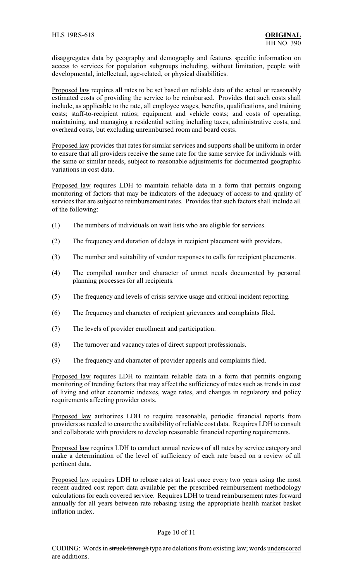disaggregates data by geography and demography and features specific information on access to services for population subgroups including, without limitation, people with developmental, intellectual, age-related, or physical disabilities.

Proposed law requires all rates to be set based on reliable data of the actual or reasonably estimated costs of providing the service to be reimbursed. Provides that such costs shall include, as applicable to the rate, all employee wages, benefits, qualifications, and training costs; staff-to-recipient ratios; equipment and vehicle costs; and costs of operating, maintaining, and managing a residential setting including taxes, administrative costs, and overhead costs, but excluding unreimbursed room and board costs.

Proposed law provides that rates for similar services and supports shall be uniform in order to ensure that all providers receive the same rate for the same service for individuals with the same or similar needs, subject to reasonable adjustments for documented geographic variations in cost data.

Proposed law requires LDH to maintain reliable data in a form that permits ongoing monitoring of factors that may be indicators of the adequacy of access to and quality of services that are subject to reimbursement rates. Provides that such factors shall include all of the following:

- (1) The numbers of individuals on wait lists who are eligible for services.
- (2) The frequency and duration of delays in recipient placement with providers.
- (3) The number and suitability of vendor responses to calls for recipient placements.
- (4) The compiled number and character of unmet needs documented by personal planning processes for all recipients.
- (5) The frequency and levels of crisis service usage and critical incident reporting.
- (6) The frequency and character of recipient grievances and complaints filed.
- (7) The levels of provider enrollment and participation.
- (8) The turnover and vacancy rates of direct support professionals.
- (9) The frequency and character of provider appeals and complaints filed.

Proposed law requires LDH to maintain reliable data in a form that permits ongoing monitoring of trending factors that may affect the sufficiency of rates such as trends in cost of living and other economic indexes, wage rates, and changes in regulatory and policy requirements affecting provider costs.

Proposed law authorizes LDH to require reasonable, periodic financial reports from providers as needed to ensure the availability of reliable cost data. Requires LDH to consult and collaborate with providers to develop reasonable financial reporting requirements.

Proposed law requires LDH to conduct annual reviews of all rates by service category and make a determination of the level of sufficiency of each rate based on a review of all pertinent data.

Proposed law requires LDH to rebase rates at least once every two years using the most recent audited cost report data available per the prescribed reimbursement methodology calculations for each covered service. Requires LDH to trend reimbursement rates forward annually for all years between rate rebasing using the appropriate health market basket inflation index.

### Page 10 of 11